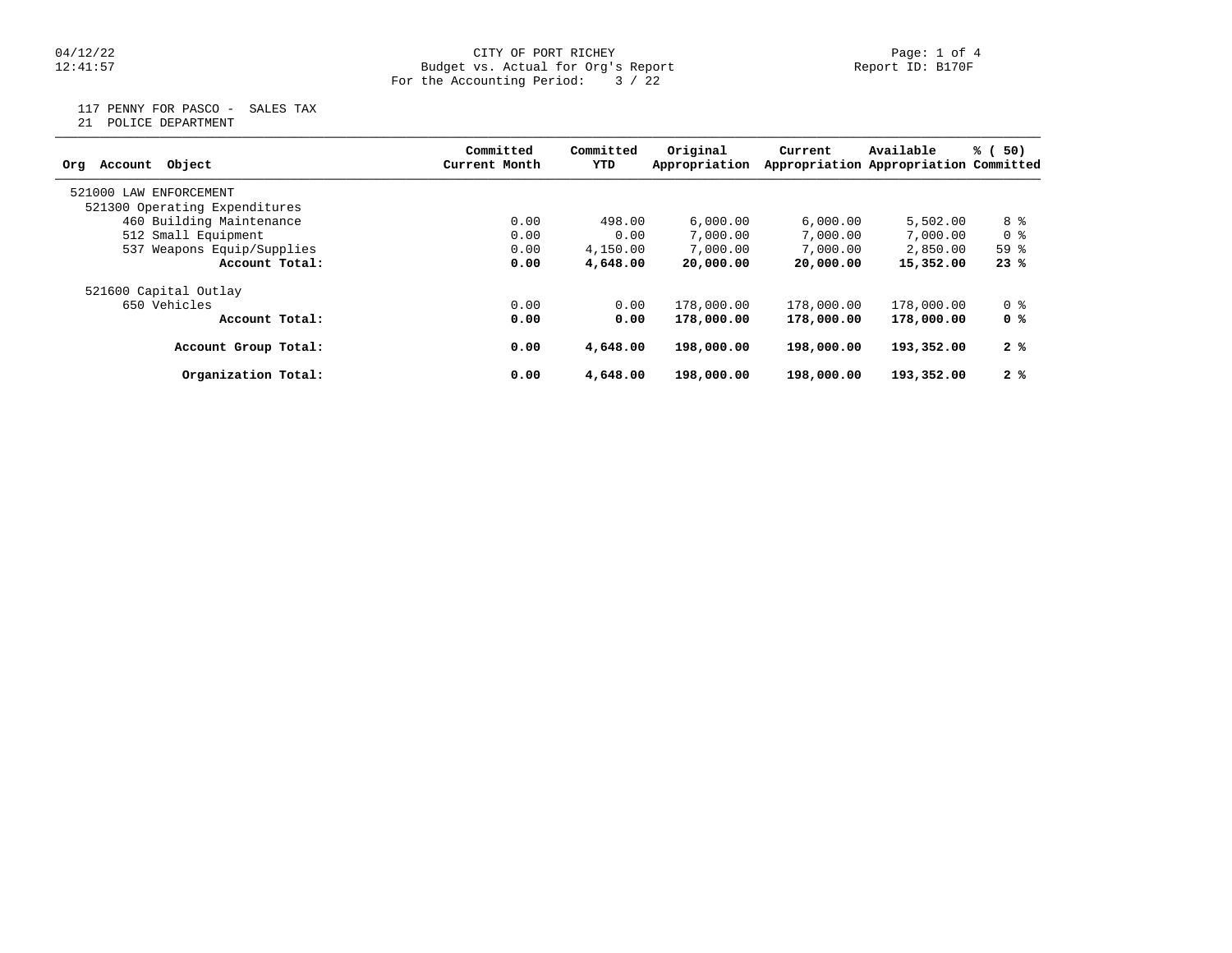## 04/12/22 CITY OF PORT RICHEY Page: 1 of 4 12:41:57 Budget vs. Actual for Org's Report Report ID: B170F For the Accounting Period: 3 / 22

117 PENNY FOR PASCO - SALES TAX

21 POLICE DEPARTMENT

| Object<br>Account<br>Org      | Committed<br>Current Month | Committed<br>YTD | Original<br>Appropriation | Current    | Available                                                                                                          | % (50) |
|-------------------------------|----------------------------|------------------|---------------------------|------------|--------------------------------------------------------------------------------------------------------------------|--------|
|                               |                            |                  |                           |            | Appropriation Appropriation Committed<br>5,502.00<br>7,000.00<br>2,850.00<br>15,352.00<br>178,000.00<br>178,000.00 |        |
| 521000 LAW<br>ENFORCEMENT     |                            |                  |                           |            |                                                                                                                    |        |
| 521300 Operating Expenditures |                            |                  |                           |            |                                                                                                                    |        |
| 460 Building Maintenance      | 0.00                       | 498.00           | 6,000.00                  | 6,000.00   |                                                                                                                    | 8 %    |
| 512 Small Equipment           | 0.00                       | 0.00             | 7,000.00                  | 7,000.00   |                                                                                                                    | 0 %    |
| 537 Weapons Equip/Supplies    | 0.00                       | 4,150.00         | 7,000.00                  | 7,000.00   |                                                                                                                    | 59%    |
| Account Total:                | 0.00                       | 4,648.00         | 20,000.00                 | 20,000.00  |                                                                                                                    | 23%    |
| 521600 Capital Outlay         |                            |                  |                           |            |                                                                                                                    |        |
| 650 Vehicles                  | 0.00                       | 0.00             | 178,000.00                | 178,000.00 |                                                                                                                    | 0 %    |
| Account Total:                | 0.00                       | 0.00             | 178,000.00                | 178,000.00 |                                                                                                                    | 0 %    |
| Account Group Total:          | 0.00                       | 4,648.00         | 198,000.00                | 198,000.00 | 193,352.00                                                                                                         | 2%     |
| Organization Total:           | 0.00                       | 4,648.00         | 198,000.00                | 198,000.00 | 193,352.00                                                                                                         | 2%     |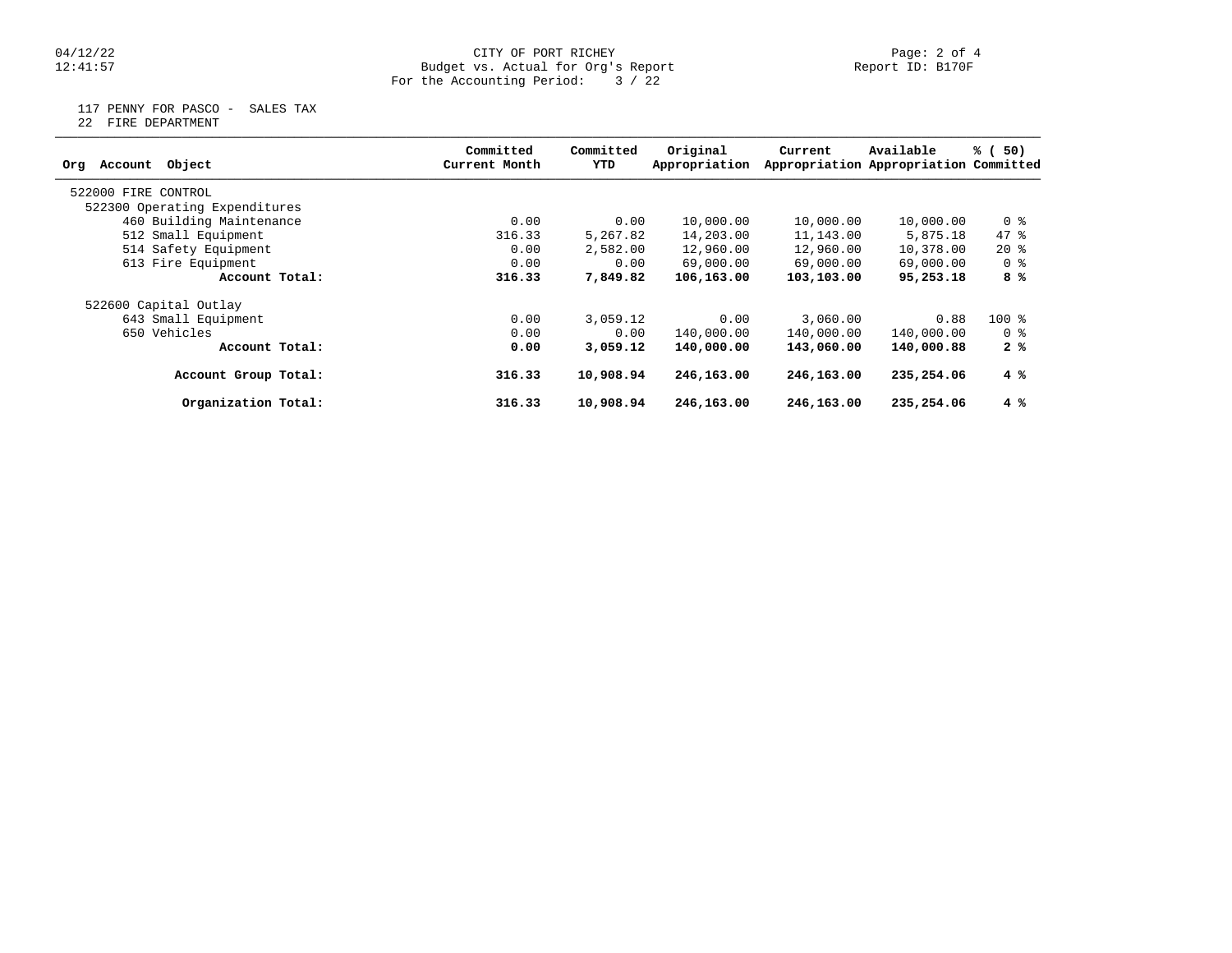## 04/12/22 CITY OF PORT RICHEY Page: 2 of 4 12:41:57 Budget vs. Actual for Org's Report Report ID: B170F For the Accounting Period: 3 / 22

117 PENNY FOR PASCO - SALES TAX

22 FIRE DEPARTMENT

| Object<br>Account<br>Org      | Committed<br>Current Month | Committed<br>YTD | Original<br>Appropriation | Current    | Available<br>Appropriation Appropriation Committed | % (50)         |
|-------------------------------|----------------------------|------------------|---------------------------|------------|----------------------------------------------------|----------------|
| 522000 FIRE CONTROL           |                            |                  |                           |            |                                                    |                |
| 522300 Operating Expenditures |                            |                  |                           |            |                                                    |                |
| 460 Building Maintenance      | 0.00                       | 0.00             | 10,000.00                 | 10,000.00  | 10,000.00                                          | 0 %            |
| 512 Small Equipment           | 316.33                     | 5,267.82         | 14,203.00                 | 11,143.00  | 5,875.18                                           | 47.8           |
| 514 Safety Equipment          | 0.00                       | 2,582.00         | 12,960.00                 | 12,960.00  | 10,378.00                                          | $20*$          |
| 613 Fire Equipment            | 0.00                       | 0.00             | 69,000.00                 | 69,000.00  | 69,000.00                                          | 0 <sup>8</sup> |
| Account Total:                | 316.33                     | 7,849.82         | 106,163.00                | 103,103.00 | 95,253.18                                          | 8 %            |
| 522600 Capital Outlay         |                            |                  |                           |            |                                                    |                |
| 643 Small Equipment           | 0.00                       | 3,059.12         | 0.00                      | 3,060.00   | 0.88                                               | $100*$         |
| 650 Vehicles                  | 0.00                       | 0.00             | 140,000.00                | 140,000.00 | 140,000.00                                         | 0 %            |
| Account Total:                | 0.00                       | 3,059.12         | 140,000.00                | 143,060.00 | 140,000.88                                         | 2%             |
| Account Group Total:          | 316.33                     | 10,908.94        | 246,163.00                | 246,163.00 | 235,254.06                                         | 4 %            |
| Organization Total:           | 316.33                     | 10,908.94        | 246,163.00                | 246,163.00 | 235,254.06                                         | 4%             |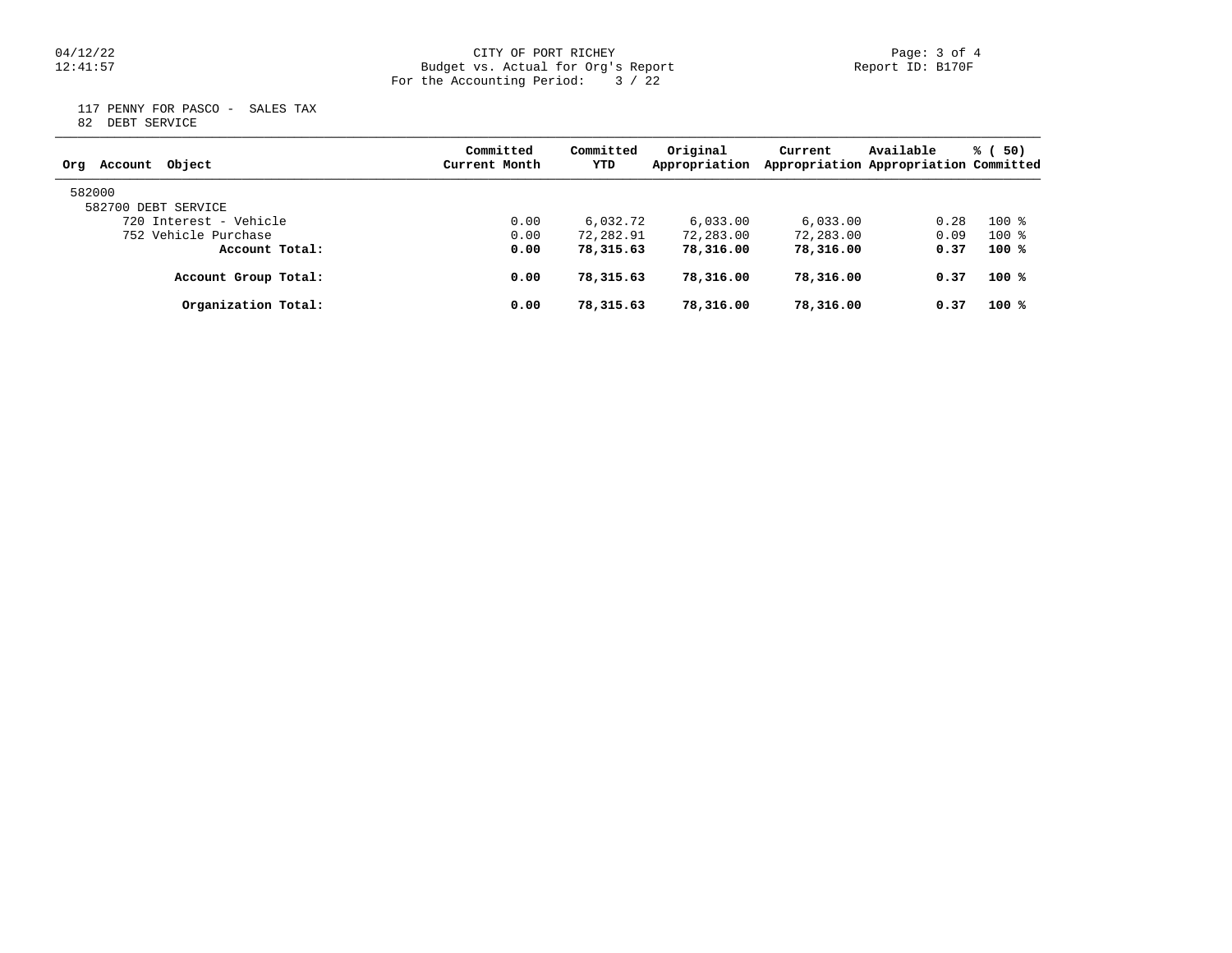## 04/12/22 CITY OF PORT RICHEY Page: 3 of 4 12:41:57 Budget vs. Actual for Org's Report Report ID: B170F For the Accounting Period: 3 / 22

 117 PENNY FOR PASCO - SALES TAX 82 DEBT SERVICE

| Object<br>Account<br>Org | Committed<br>Current Month | Committed<br>YTD | Original<br>Appropriation | Current   | Available<br>Appropriation Appropriation Committed | % (50) |
|--------------------------|----------------------------|------------------|---------------------------|-----------|----------------------------------------------------|--------|
| 582000                   |                            |                  |                           |           |                                                    |        |
| 582700 DEBT SERVICE      |                            |                  |                           |           |                                                    |        |
| 720 Interest - Vehicle   | 0.00                       | 6,032.72         | 6.033.00                  | 6.033.00  | 0.28                                               | $100*$ |
| 752 Vehicle Purchase     | 0.00                       | 72,282.91        | 72,283.00                 | 72,283.00 | 0.09                                               | $100*$ |
| Account Total:           | 0.00                       | 78,315.63        | 78,316.00                 | 78,316.00 | 0.37                                               | $100*$ |
| Account Group Total:     | 0.00                       | 78,315.63        | 78,316.00                 | 78,316.00 | 0.37                                               | $100*$ |
| Organization Total:      | 0.00                       | 78,315.63        | 78,316.00                 | 78,316.00 | 0.37                                               | $100*$ |